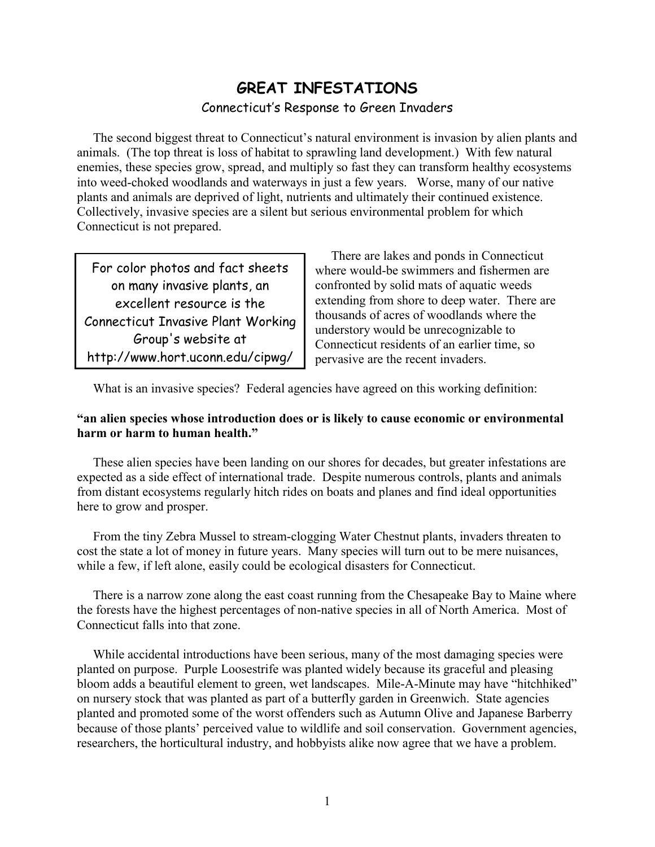# **GREAT INFESTATIONS**  Connecticut's Response to Green Invaders

The second biggest threat to Connecticut's natural environment is invasion by alien plants and animals. (The top threat is loss of habitat to sprawling land development.) With few natural enemies, these species grow, spread, and multiply so fast they can transform healthy ecosystems into weed-choked woodlands and waterways in just a few years. Worse, many of our native plants and animals are deprived of light, nutrients and ultimately their continued existence. Collectively, invasive species are a silent but serious environmental problem for which Connecticut is not prepared.

Connecticut Invasive Plant Working http://www.hort.uconn.edu/cipwg/  $\vert$  pervasive are the recent invaders.

There are lakes and ponds in Connecticut<br>For color photos and fact sheets where would-be swimmers and fishermen are<br>on many invasive plants, an confronted by solid mats of aquatic weeds confronted by solid mats of aquatic weeds excellent resource is the  $\vert$  extending from shore to deep water. There are thousands of acres of woodlands where the Group's website at connecticut residents of an earlier time, so

What is an invasive species? Federal agencies have agreed on this working definition:

### **"an alien species whose introduction does or is likely to cause economic or environmental harm or harm to human health."**

These alien species have been landing on our shores for decades, but greater infestations are expected as a side effect of international trade. Despite numerous controls, plants and animals from distant ecosystems regularly hitch rides on boats and planes and find ideal opportunities here to grow and prosper.

From the tiny Zebra Mussel to stream-clogging Water Chestnut plants, invaders threaten to cost the state a lot of money in future years. Many species will turn out to be mere nuisances, while a few, if left alone, easily could be ecological disasters for Connecticut.

There is a narrow zone along the east coast running from the Chesapeake Bay to Maine where the forests have the highest percentages of non-native species in all of North America. Most of Connecticut falls into that zone.

While accidental introductions have been serious, many of the most damaging species were planted on purpose. Purple Loosestrife was planted widely because its graceful and pleasing bloom adds a beautiful element to green, wet landscapes. Mile-A-Minute may have "hitchhiked" on nursery stock that was planted as part of a butterfly garden in Greenwich. State agencies planted and promoted some of the worst offenders such as Autumn Olive and Japanese Barberry because of those plants' perceived value to wildlife and soil conservation. Government agencies, researchers, the horticultural industry, and hobbyists alike now agree that we have a problem.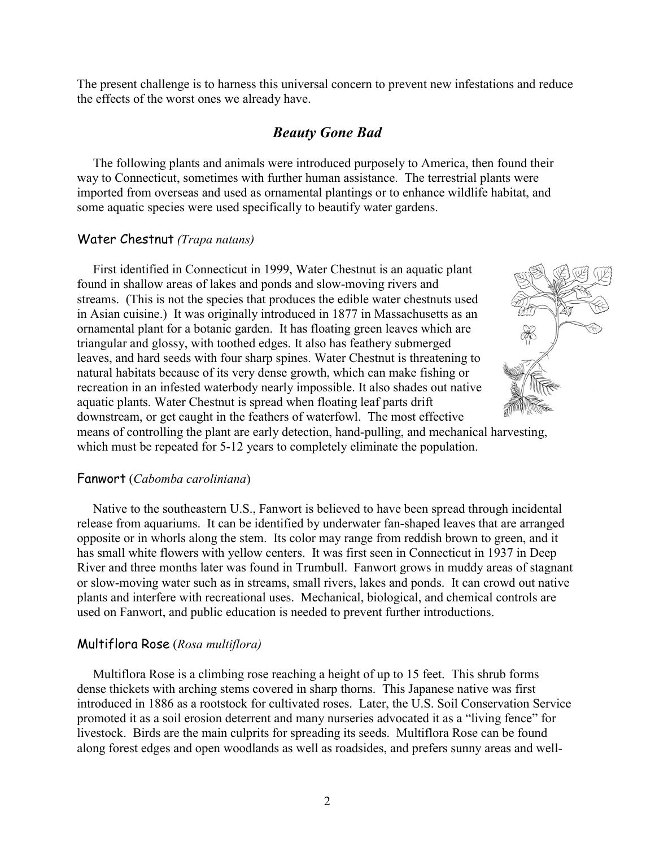The present challenge is to harness this universal concern to prevent new infestations and reduce the effects of the worst ones we already have.

## *Beauty Gone Bad*

The following plants and animals were introduced purposely to America, then found their way to Connecticut, sometimes with further human assistance. The terrestrial plants were imported from overseas and used as ornamental plantings or to enhance wildlife habitat, and some aquatic species were used specifically to beautify water gardens.

#### Water Chestnut *(Trapa natans)*

First identified in Connecticut in 1999, Water Chestnut is an aquatic plant found in shallow areas of lakes and ponds and slow-moving rivers and streams. (This is not the species that produces the edible water chestnuts used in Asian cuisine.) It was originally introduced in 1877 in Massachusetts as an ornamental plant for a botanic garden. It has floating green leaves which are triangular and glossy, with toothed edges. It also has feathery submerged leaves, and hard seeds with four sharp spines. Water Chestnut is threatening to natural habitats because of its very dense growth, which can make fishing or recreation in an infested waterbody nearly impossible. It also shades out native aquatic plants. Water Chestnut is spread when floating leaf parts drift downstream, or get caught in the feathers of waterfowl. The most effective



means of controlling the plant are early detection, hand-pulling, and mechanical harvesting, which must be repeated for 5-12 years to completely eliminate the population.

#### Fanwort (*Cabomba caroliniana*)

Native to the southeastern U.S., Fanwort is believed to have been spread through incidental release from aquariums. It can be identified by underwater fan-shaped leaves that are arranged opposite or in whorls along the stem. Its color may range from reddish brown to green, and it has small white flowers with yellow centers. It was first seen in Connecticut in 1937 in Deep River and three months later was found in Trumbull. Fanwort grows in muddy areas of stagnant or slow-moving water such as in streams, small rivers, lakes and ponds. It can crowd out native plants and interfere with recreational uses. Mechanical, biological, and chemical controls are used on Fanwort, and public education is needed to prevent further introductions.

#### Multiflora Rose (*Rosa multiflora)*

Multiflora Rose is a climbing rose reaching a height of up to 15 feet. This shrub forms dense thickets with arching stems covered in sharp thorns. This Japanese native was first introduced in 1886 as a rootstock for cultivated roses. Later, the U.S. Soil Conservation Service promoted it as a soil erosion deterrent and many nurseries advocated it as a "living fence" for livestock. Birds are the main culprits for spreading its seeds. Multiflora Rose can be found along forest edges and open woodlands as well as roadsides, and prefers sunny areas and well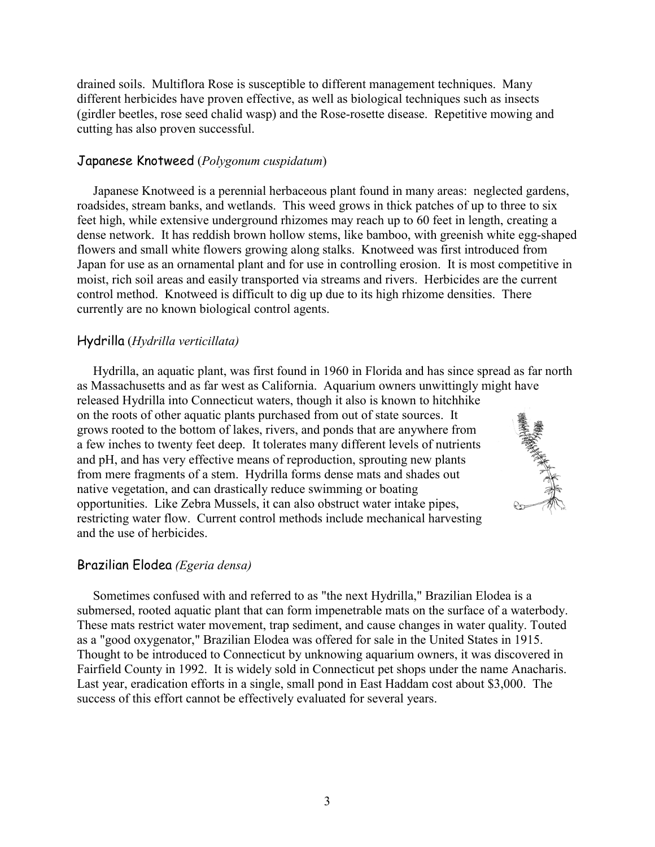drained soils. Multiflora Rose is susceptible to different management techniques. Many different herbicides have proven effective, as well as biological techniques such as insects (girdler beetles, rose seed chalid wasp) and the Rose-rosette disease. Repetitive mowing and cutting has also proven successful.

### Japanese Knotweed (*Polygonum cuspidatum*)

Japanese Knotweed is a perennial herbaceous plant found in many areas: neglected gardens, roadsides, stream banks, and wetlands. This weed grows in thick patches of up to three to six feet high, while extensive underground rhizomes may reach up to 60 feet in length, creating a dense network. It has reddish brown hollow stems, like bamboo, with greenish white egg-shaped flowers and small white flowers growing along stalks. Knotweed was first introduced from Japan for use as an ornamental plant and for use in controlling erosion. It is most competitive in moist, rich soil areas and easily transported via streams and rivers. Herbicides are the current control method. Knotweed is difficult to dig up due to its high rhizome densities. There currently are no known biological control agents.

## Hydrilla (*Hydrilla verticillata)*

Hydrilla, an aquatic plant, was first found in 1960 in Florida and has since spread as far north as Massachusetts and as far west as California. Aquarium owners unwittingly might have released Hydrilla into Connecticut waters, though it also is known to hitchhike on the roots of other aquatic plants purchased from out of state sources. It grows rooted to the bottom of lakes, rivers, and ponds that are anywhere from a few inches to twenty feet deep. It tolerates many different levels of nutrients and pH, and has very effective means of reproduction, sprouting new plants from mere fragments of a stem. Hydrilla forms dense mats and shades out native vegetation, and can drastically reduce swimming or boating opportunities. Like Zebra Mussels, it can also obstruct water intake pipes, restricting water flow. Current control methods include mechanical harvesting and the use of herbicides.

# Brazilian Elodea *(Egeria densa)*

Sometimes confused with and referred to as "the next Hydrilla," Brazilian Elodea is a submersed, rooted aquatic plant that can form impenetrable mats on the surface of a waterbody. These mats restrict water movement, trap sediment, and cause changes in water quality. Touted as a "good oxygenator," Brazilian Elodea was offered for sale in the United States in 1915. Thought to be introduced to Connecticut by unknowing aquarium owners, it was discovered in Fairfield County in 1992. It is widely sold in Connecticut pet shops under the name Anacharis. Last year, eradication efforts in a single, small pond in East Haddam cost about \$3,000. The success of this effort cannot be effectively evaluated for several years.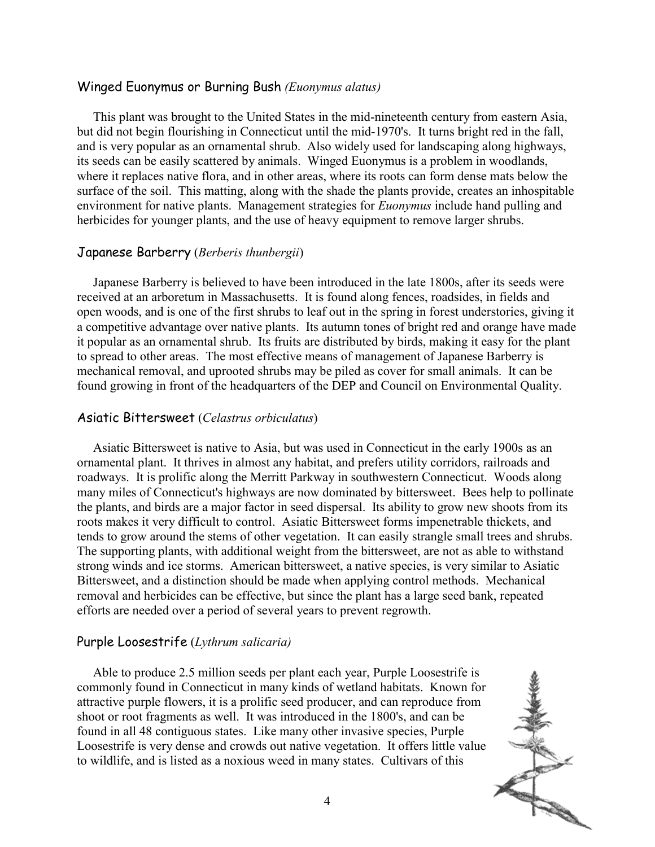#### Winged Euonymus or Burning Bush *(Euonymus alatus)*

This plant was brought to the United States in the mid-nineteenth century from eastern Asia, but did not begin flourishing in Connecticut until the mid-1970's. It turns bright red in the fall, and is very popular as an ornamental shrub. Also widely used for landscaping along highways, its seeds can be easily scattered by animals. Winged Euonymus is a problem in woodlands, where it replaces native flora, and in other areas, where its roots can form dense mats below the surface of the soil. This matting, along with the shade the plants provide, creates an inhospitable environment for native plants. Management strategies for *Euonymus* include hand pulling and herbicides for younger plants, and the use of heavy equipment to remove larger shrubs.

#### Japanese Barberry (*Berberis thunbergii*)

Japanese Barberry is believed to have been introduced in the late 1800s, after its seeds were received at an arboretum in Massachusetts. It is found along fences, roadsides, in fields and open woods, and is one of the first shrubs to leaf out in the spring in forest understories, giving it a competitive advantage over native plants. Its autumn tones of bright red and orange have made it popular as an ornamental shrub. Its fruits are distributed by birds, making it easy for the plant to spread to other areas. The most effective means of management of Japanese Barberry is mechanical removal, and uprooted shrubs may be piled as cover for small animals. It can be found growing in front of the headquarters of the DEP and Council on Environmental Quality.

#### Asiatic Bittersweet (*Celastrus orbiculatus*)

Asiatic Bittersweet is native to Asia, but was used in Connecticut in the early 1900s as an ornamental plant. It thrives in almost any habitat, and prefers utility corridors, railroads and roadways. It is prolific along the Merritt Parkway in southwestern Connecticut. Woods along many miles of Connecticut's highways are now dominated by bittersweet. Bees help to pollinate the plants, and birds are a major factor in seed dispersal. Its ability to grow new shoots from its roots makes it very difficult to control. Asiatic Bittersweet forms impenetrable thickets, and tends to grow around the stems of other vegetation. It can easily strangle small trees and shrubs. The supporting plants, with additional weight from the bittersweet, are not as able to withstand strong winds and ice storms. American bittersweet, a native species, is very similar to Asiatic Bittersweet, and a distinction should be made when applying control methods. Mechanical removal and herbicides can be effective, but since the plant has a large seed bank, repeated efforts are needed over a period of several years to prevent regrowth.

#### Purple Loosestrife (*Lythrum salicaria)*

Able to produce 2.5 million seeds per plant each year, Purple Loosestrife is commonly found in Connecticut in many kinds of wetland habitats. Known for attractive purple flowers, it is a prolific seed producer, and can reproduce from shoot or root fragments as well. It was introduced in the 1800's, and can be found in all 48 contiguous states. Like many other invasive species, Purple Loosestrife is very dense and crowds out native vegetation. It offers little value to wildlife, and is listed as a noxious weed in many states. Cultivars of this

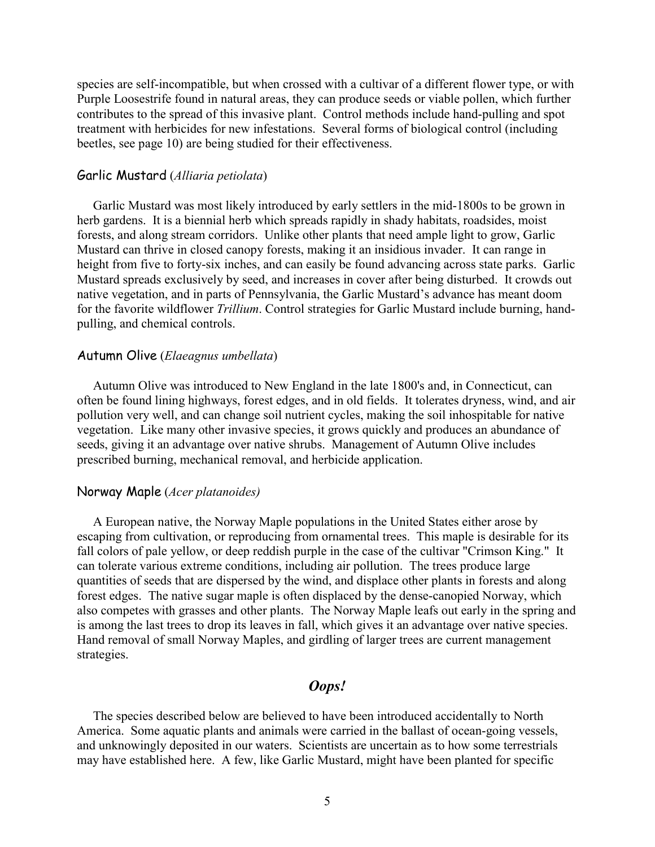species are self-incompatible, but when crossed with a cultivar of a different flower type, or with Purple Loosestrife found in natural areas, they can produce seeds or viable pollen, which further contributes to the spread of this invasive plant. Control methods include hand-pulling and spot treatment with herbicides for new infestations. Several forms of biological control (including beetles, see page 10) are being studied for their effectiveness.

#### Garlic Mustard (*Alliaria petiolata*)

Garlic Mustard was most likely introduced by early settlers in the mid-1800s to be grown in herb gardens. It is a biennial herb which spreads rapidly in shady habitats, roadsides, moist forests, and along stream corridors. Unlike other plants that need ample light to grow, Garlic Mustard can thrive in closed canopy forests, making it an insidious invader. It can range in height from five to forty-six inches, and can easily be found advancing across state parks. Garlic Mustard spreads exclusively by seed, and increases in cover after being disturbed. It crowds out native vegetation, and in parts of Pennsylvania, the Garlic Mustard's advance has meant doom for the favorite wildflower *Trillium*. Control strategies for Garlic Mustard include burning, handpulling, and chemical controls.

#### Autumn Olive (*Elaeagnus umbellata*)

Autumn Olive was introduced to New England in the late 1800's and, in Connecticut, can often be found lining highways, forest edges, and in old fields. It tolerates dryness, wind, and air pollution very well, and can change soil nutrient cycles, making the soil inhospitable for native vegetation. Like many other invasive species, it grows quickly and produces an abundance of seeds, giving it an advantage over native shrubs. Management of Autumn Olive includes prescribed burning, mechanical removal, and herbicide application.

#### Norway Maple (*Acer platanoides)*

A European native, the Norway Maple populations in the United States either arose by escaping from cultivation, or reproducing from ornamental trees. This maple is desirable for its fall colors of pale yellow, or deep reddish purple in the case of the cultivar "Crimson King." It can tolerate various extreme conditions, including air pollution. The trees produce large quantities of seeds that are dispersed by the wind, and displace other plants in forests and along forest edges. The native sugar maple is often displaced by the dense-canopied Norway, which also competes with grasses and other plants. The Norway Maple leafs out early in the spring and is among the last trees to drop its leaves in fall, which gives it an advantage over native species. Hand removal of small Norway Maples, and girdling of larger trees are current management strategies.

## *Oops!*

The species described below are believed to have been introduced accidentally to North America. Some aquatic plants and animals were carried in the ballast of ocean-going vessels, and unknowingly deposited in our waters. Scientists are uncertain as to how some terrestrials may have established here. A few, like Garlic Mustard, might have been planted for specific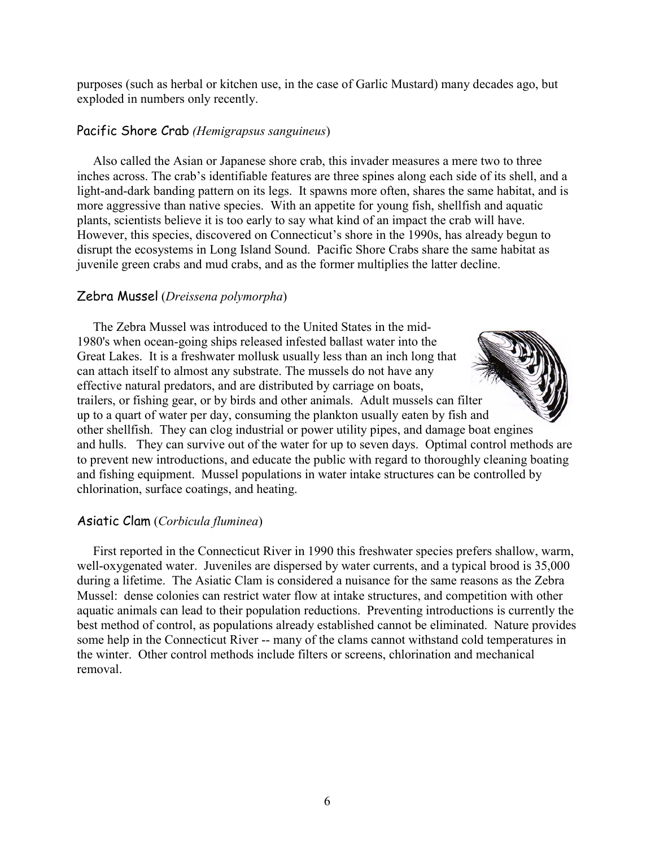purposes (such as herbal or kitchen use, in the case of Garlic Mustard) many decades ago, but exploded in numbers only recently.

### Pacific Shore Crab *(Hemigrapsus sanguineus*)

Also called the Asian or Japanese shore crab, this invader measures a mere two to three inches across. The crab's identifiable features are three spines along each side of its shell, and a light-and-dark banding pattern on its legs. It spawns more often, shares the same habitat, and is more aggressive than native species. With an appetite for young fish, shellfish and aquatic plants, scientists believe it is too early to say what kind of an impact the crab will have. However, this species, discovered on Connecticut's shore in the 1990s, has already begun to disrupt the ecosystems in Long Island Sound. Pacific Shore Crabs share the same habitat as juvenile green crabs and mud crabs, and as the former multiplies the latter decline.

### Zebra Mussel (*Dreissena polymorpha*)

The Zebra Mussel was introduced to the United States in the mid-1980's when ocean-going ships released infested ballast water into the Great Lakes. It is a freshwater mollusk usually less than an inch long that can attach itself to almost any substrate. The mussels do not have any effective natural predators, and are distributed by carriage on boats, trailers, or fishing gear, or by birds and other animals. Adult mussels can filter up to a quart of water per day, consuming the plankton usually eaten by fish and other shellfish. They can clog industrial or power utility pipes, and damage boat engines and hulls. They can survive out of the water for up to seven days. Optimal control methods are to prevent new introductions, and educate the public with regard to thoroughly cleaning boating and fishing equipment. Mussel populations in water intake structures can be controlled by chlorination, surface coatings, and heating.

### Asiatic Clam (*Corbicula fluminea*)

First reported in the Connecticut River in 1990 this freshwater species prefers shallow, warm, well-oxygenated water. Juveniles are dispersed by water currents, and a typical brood is 35,000 during a lifetime. The Asiatic Clam is considered a nuisance for the same reasons as the Zebra Mussel: dense colonies can restrict water flow at intake structures, and competition with other aquatic animals can lead to their population reductions. Preventing introductions is currently the best method of control, as populations already established cannot be eliminated. Nature provides some help in the Connecticut River -- many of the clams cannot withstand cold temperatures in the winter. Other control methods include filters or screens, chlorination and mechanical removal.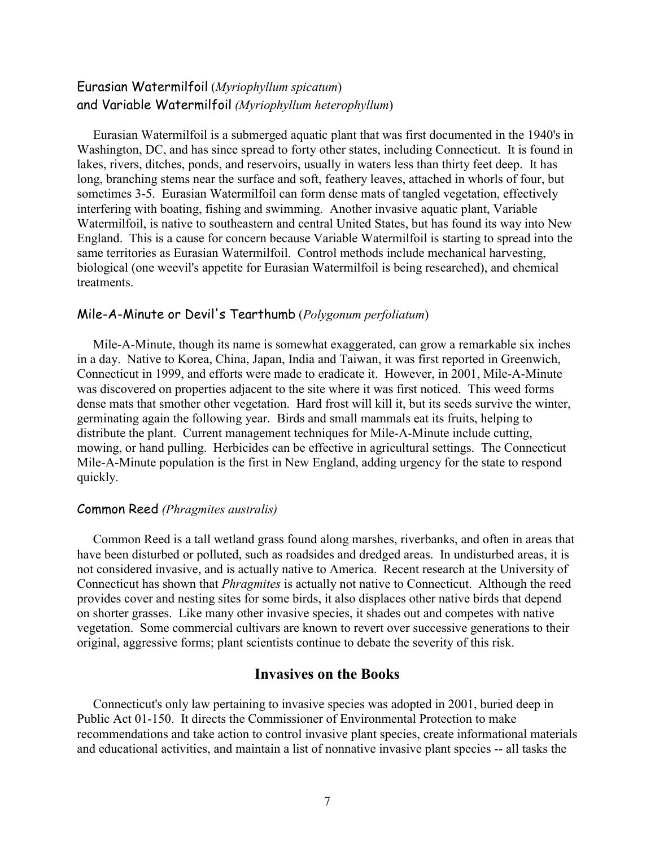## Eurasian Watermilfoil (*Myriophyllum spicatum*) and Variable Watermilfoil *(Myriophyllum heterophyllum*)

Eurasian Watermilfoil is a submerged aquatic plant that was first documented in the 1940's in Washington, DC, and has since spread to forty other states, including Connecticut. It is found in lakes, rivers, ditches, ponds, and reservoirs, usually in waters less than thirty feet deep. It has long, branching stems near the surface and soft, feathery leaves, attached in whorls of four, but sometimes 3-5. Eurasian Watermilfoil can form dense mats of tangled vegetation, effectively interfering with boating, fishing and swimming. Another invasive aquatic plant, Variable Watermilfoil, is native to southeastern and central United States, but has found its way into New England. This is a cause for concern because Variable Watermilfoil is starting to spread into the same territories as Eurasian Watermilfoil. Control methods include mechanical harvesting, biological (one weevil's appetite for Eurasian Watermilfoil is being researched), and chemical treatments.

#### Mile-A-Minute or Devil's Tearthumb (*Polygonum perfoliatum*)

Mile-A-Minute, though its name is somewhat exaggerated, can grow a remarkable six inches in a day. Native to Korea, China, Japan, India and Taiwan, it was first reported in Greenwich, Connecticut in 1999, and efforts were made to eradicate it. However, in 2001, Mile-A-Minute was discovered on properties adjacent to the site where it was first noticed. This weed forms dense mats that smother other vegetation. Hard frost will kill it, but its seeds survive the winter, germinating again the following year. Birds and small mammals eat its fruits, helping to distribute the plant. Current management techniques for Mile-A-Minute include cutting, mowing, or hand pulling. Herbicides can be effective in agricultural settings. The Connecticut Mile-A-Minute population is the first in New England, adding urgency for the state to respond quickly.

#### Common Reed *(Phragmites australis)*

Common Reed is a tall wetland grass found along marshes, riverbanks, and often in areas that have been disturbed or polluted, such as roadsides and dredged areas. In undisturbed areas, it is not considered invasive, and is actually native to America. Recent research at the University of Connecticut has shown that *Phragmites* is actually not native to Connecticut. Although the reed provides cover and nesting sites for some birds, it also displaces other native birds that depend on shorter grasses. Like many other invasive species, it shades out and competes with native vegetation. Some commercial cultivars are known to revert over successive generations to their original, aggressive forms; plant scientists continue to debate the severity of this risk.

### **Invasives on the Books**

Connecticut's only law pertaining to invasive species was adopted in 2001, buried deep in Public Act 01-150. It directs the Commissioner of Environmental Protection to make recommendations and take action to control invasive plant species, create informational materials and educational activities, and maintain a list of nonnative invasive plant species -- all tasks the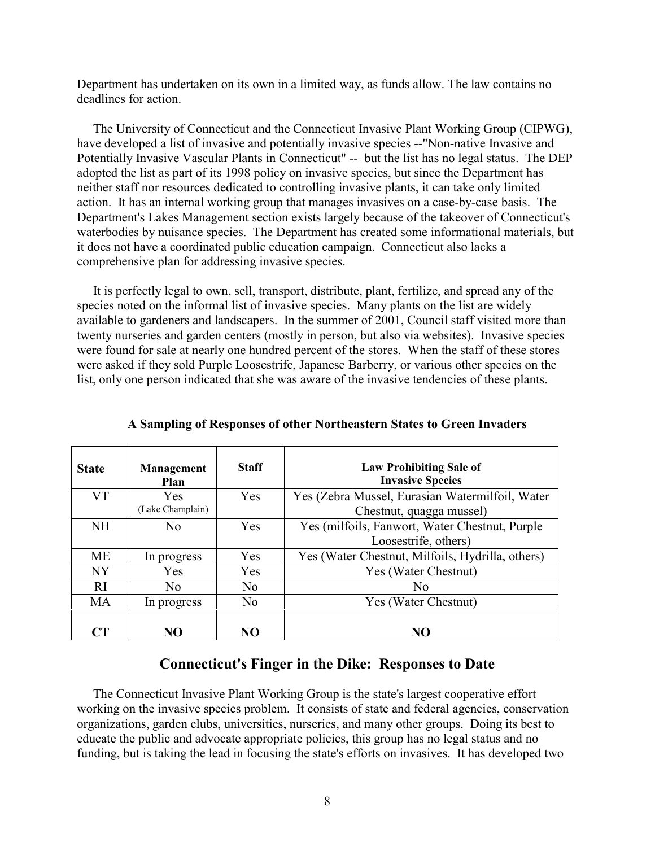Department has undertaken on its own in a limited way, as funds allow. The law contains no deadlines for action.

The University of Connecticut and the Connecticut Invasive Plant Working Group (CIPWG), have developed a list of invasive and potentially invasive species --"Non-native Invasive and Potentially Invasive Vascular Plants in Connecticut" -- but the list has no legal status. The DEP adopted the list as part of its 1998 policy on invasive species, but since the Department has neither staff nor resources dedicated to controlling invasive plants, it can take only limited action. It has an internal working group that manages invasives on a case-by-case basis. The Department's Lakes Management section exists largely because of the takeover of Connecticut's waterbodies by nuisance species. The Department has created some informational materials, but it does not have a coordinated public education campaign. Connecticut also lacks a comprehensive plan for addressing invasive species.

It is perfectly legal to own, sell, transport, distribute, plant, fertilize, and spread any of the species noted on the informal list of invasive species. Many plants on the list are widely available to gardeners and landscapers. In the summer of 2001, Council staff visited more than twenty nurseries and garden centers (mostly in person, but also via websites). Invasive species were found for sale at nearly one hundred percent of the stores. When the staff of these stores were asked if they sold Purple Loosestrife, Japanese Barberry, or various other species on the list, only one person indicated that she was aware of the invasive tendencies of these plants.

| <b>State</b>  | Management<br>Plan | <b>Staff</b>   | <b>Law Prohibiting Sale of</b><br><b>Invasive Species</b> |
|---------------|--------------------|----------------|-----------------------------------------------------------|
| VT            | Yes                | Yes            | Yes (Zebra Mussel, Eurasian Watermilfoil, Water           |
|               | (Lake Champlain)   |                | Chestnut, quagga mussel)                                  |
| <b>NH</b>     | N <sub>0</sub>     | Yes            | Yes (milfoils, Fanwort, Water Chestnut, Purple            |
|               |                    |                | Loosestrife, others)                                      |
| <b>ME</b>     | In progress        | Yes            | Yes (Water Chestnut, Milfoils, Hydrilla, others)          |
| <b>NY</b>     | Yes                | Yes            | Yes (Water Chestnut)                                      |
| <sub>RI</sub> | No.                | N <sub>0</sub> | No.                                                       |
| MA            | In progress        | N <sub>0</sub> | Yes (Water Chestnut)                                      |
|               |                    |                |                                                           |
| СT            | NO                 | NO             | NO                                                        |

**A Sampling of Responses of other Northeastern States to Green Invaders** 

### **Connecticut's Finger in the Dike: Responses to Date**

The Connecticut Invasive Plant Working Group is the state's largest cooperative effort working on the invasive species problem. It consists of state and federal agencies, conservation organizations, garden clubs, universities, nurseries, and many other groups. Doing its best to educate the public and advocate appropriate policies, this group has no legal status and no funding, but is taking the lead in focusing the state's efforts on invasives. It has developed two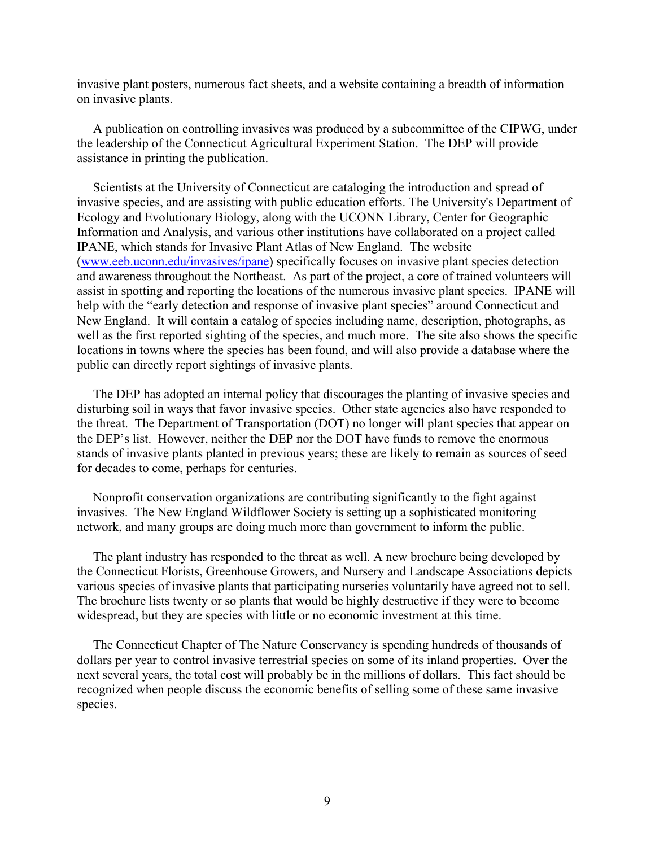invasive plant posters, numerous fact sheets, and a website containing a breadth of information on invasive plants.

A publication on controlling invasives was produced by a subcommittee of the CIPWG, under the leadership of the Connecticut Agricultural Experiment Station. The DEP will provide assistance in printing the publication.

Scientists at the University of Connecticut are cataloging the introduction and spread of invasive species, and are assisting with public education efforts. The University's Department of Ecology and Evolutionary Biology, along with the UCONN Library, Center for Geographic Information and Analysis, and various other institutions have collaborated on a project called IPANE, which stands for Invasive Plant Atlas of New England. The website (www.eeb.uconn.edu/invasives/ipane) specifically focuses on invasive plant species detection and awareness throughout the Northeast. As part of the project, a core of trained volunteers will assist in spotting and reporting the locations of the numerous invasive plant species. IPANE will help with the "early detection and response of invasive plant species" around Connecticut and New England. It will contain a catalog of species including name, description, photographs, as well as the first reported sighting of the species, and much more. The site also shows the specific locations in towns where the species has been found, and will also provide a database where the public can directly report sightings of invasive plants.

The DEP has adopted an internal policy that discourages the planting of invasive species and disturbing soil in ways that favor invasive species. Other state agencies also have responded to the threat. The Department of Transportation (DOT) no longer will plant species that appear on the DEP's list. However, neither the DEP nor the DOT have funds to remove the enormous stands of invasive plants planted in previous years; these are likely to remain as sources of seed for decades to come, perhaps for centuries.

Nonprofit conservation organizations are contributing significantly to the fight against invasives. The New England Wildflower Society is setting up a sophisticated monitoring network, and many groups are doing much more than government to inform the public.

The plant industry has responded to the threat as well. A new brochure being developed by the Connecticut Florists, Greenhouse Growers, and Nursery and Landscape Associations depicts various species of invasive plants that participating nurseries voluntarily have agreed not to sell. The brochure lists twenty or so plants that would be highly destructive if they were to become widespread, but they are species with little or no economic investment at this time.

The Connecticut Chapter of The Nature Conservancy is spending hundreds of thousands of dollars per year to control invasive terrestrial species on some of its inland properties. Over the next several years, the total cost will probably be in the millions of dollars. This fact should be recognized when people discuss the economic benefits of selling some of these same invasive species.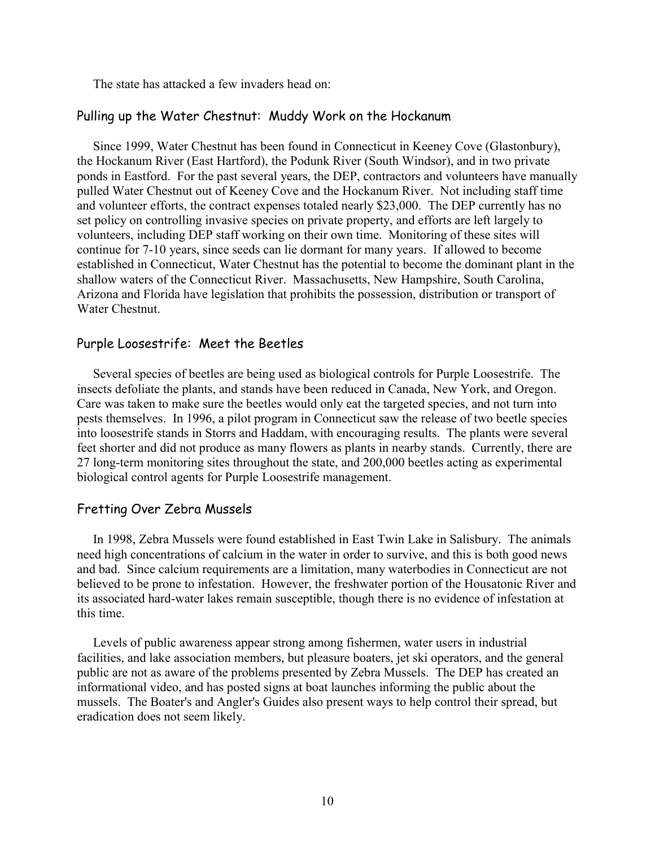The state has attacked a few invaders head on:

### Pulling up the Water Chestnut: Muddy Work on the Hockanum

Since 1999, Water Chestnut has been found in Connecticut in Keeney Cove (Glastonbury), the Hockanum River (East Hartford), the Podunk River (South Windsor), and in two private ponds in Eastford. For the past several years, the DEP, contractors and volunteers have manually pulled Water Chestnut out of Keeney Cove and the Hockanum River. Not including staff time and volunteer efforts, the contract expenses totaled nearly \$23,000. The DEP currently has no set policy on controlling invasive species on private property, and efforts are left largely to volunteers, including DEP staff working on their own time. Monitoring of these sites will continue for 7-10 years, since seeds can lie dormant for many years. If allowed to become established in Connecticut, Water Chestnut has the potential to become the dominant plant in the shallow waters of the Connecticut River. Massachusetts, New Hampshire, South Carolina, Arizona and Florida have legislation that prohibits the possession, distribution or transport of Water Chestnut.

### Purple Loosestrife: Meet the Beetles

Several species of beetles are being used as biological controls for Purple Loosestrife. The insects defoliate the plants, and stands have been reduced in Canada, New York, and Oregon. Care was taken to make sure the beetles would only eat the targeted species, and not turn into pests themselves. In 1996, a pilot program in Connecticut saw the release of two beetle species into loosestrife stands in Storrs and Haddam, with encouraging results. The plants were several feet shorter and did not produce as many flowers as plants in nearby stands. Currently, there are 27 long-term monitoring sites throughout the state, and 200,000 beetles acting as experimental biological control agents for Purple Loosestrife management.

#### Fretting Over Zebra Mussels

In 1998, Zebra Mussels were found established in East Twin Lake in Salisbury. The animals need high concentrations of calcium in the water in order to survive, and this is both good news and bad. Since calcium requirements are a limitation, many waterbodies in Connecticut are not believed to be prone to infestation. However, the freshwater portion of the Housatonic River and its associated hard-water lakes remain susceptible, though there is no evidence of infestation at this time.

Levels of public awareness appear strong among fishermen, water users in industrial facilities, and lake association members, but pleasure boaters, jet ski operators, and the general public are not as aware of the problems presented by Zebra Mussels. The DEP has created an informational video, and has posted signs at boat launches informing the public about the mussels. The Boater's and Angler's Guides also present ways to help control their spread, but eradication does not seem likely.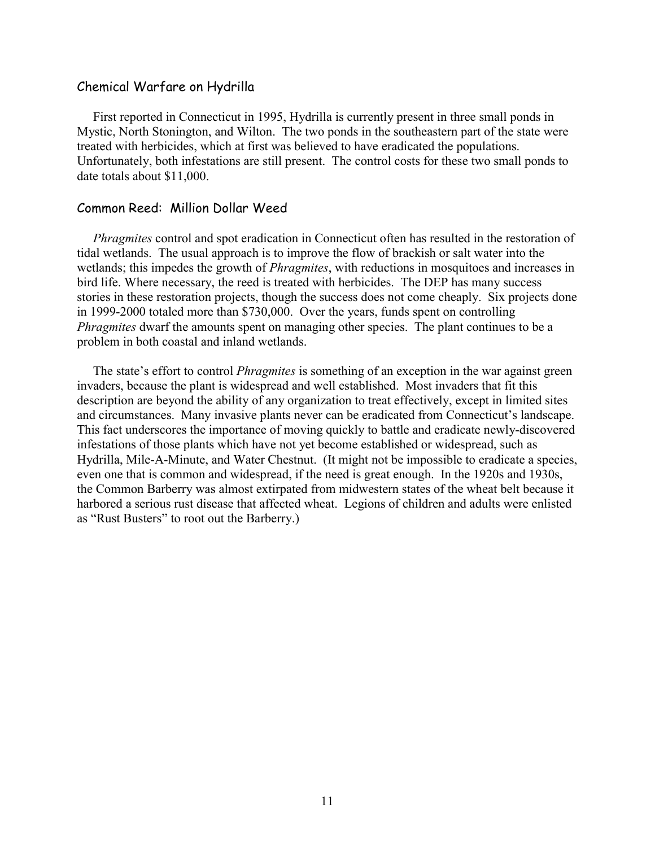#### Chemical Warfare on Hydrilla

First reported in Connecticut in 1995, Hydrilla is currently present in three small ponds in Mystic, North Stonington, and Wilton. The two ponds in the southeastern part of the state were treated with herbicides, which at first was believed to have eradicated the populations. Unfortunately, both infestations are still present. The control costs for these two small ponds to date totals about \$11,000.

### Common Reed: Million Dollar Weed

*Phragmites* control and spot eradication in Connecticut often has resulted in the restoration of tidal wetlands. The usual approach is to improve the flow of brackish or salt water into the wetlands; this impedes the growth of *Phragmites*, with reductions in mosquitoes and increases in bird life. Where necessary, the reed is treated with herbicides. The DEP has many success stories in these restoration projects, though the success does not come cheaply. Six projects done in 1999-2000 totaled more than \$730,000. Over the years, funds spent on controlling *Phragmites* dwarf the amounts spent on managing other species. The plant continues to be a problem in both coastal and inland wetlands.

The state's effort to control *Phragmites* is something of an exception in the war against green invaders, because the plant is widespread and well established. Most invaders that fit this description are beyond the ability of any organization to treat effectively, except in limited sites and circumstances. Many invasive plants never can be eradicated from Connecticut's landscape. This fact underscores the importance of moving quickly to battle and eradicate newly-discovered infestations of those plants which have not yet become established or widespread, such as Hydrilla, Mile-A-Minute, and Water Chestnut. (It might not be impossible to eradicate a species, even one that is common and widespread, if the need is great enough. In the 1920s and 1930s, the Common Barberry was almost extirpated from midwestern states of the wheat belt because it harbored a serious rust disease that affected wheat. Legions of children and adults were enlisted as "Rust Busters" to root out the Barberry.)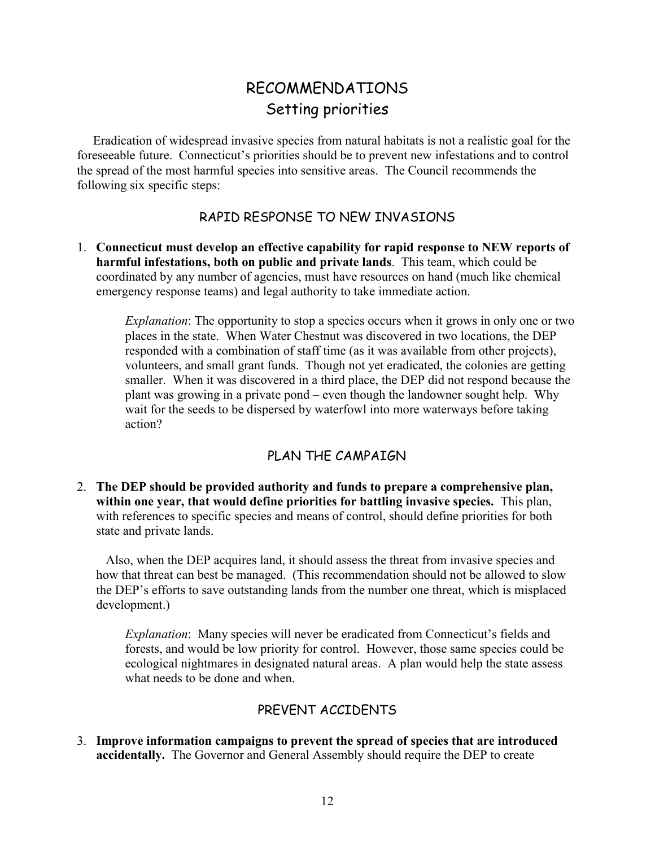# RECOMMENDATIONS Setting priorities

Eradication of widespread invasive species from natural habitats is not a realistic goal for the foreseeable future. Connecticut's priorities should be to prevent new infestations and to control the spread of the most harmful species into sensitive areas. The Council recommends the following six specific steps:

# RAPID RESPONSE TO NEW INVASIONS

1. **Connecticut must develop an effective capability for rapid response to NEW reports of harmful infestations, both on public and private lands**. This team, which could be coordinated by any number of agencies, must have resources on hand (much like chemical emergency response teams) and legal authority to take immediate action.

*Explanation*: The opportunity to stop a species occurs when it grows in only one or two places in the state. When Water Chestnut was discovered in two locations, the DEP responded with a combination of staff time (as it was available from other projects), volunteers, and small grant funds. Though not yet eradicated, the colonies are getting smaller. When it was discovered in a third place, the DEP did not respond because the plant was growing in a private pond – even though the landowner sought help. Why wait for the seeds to be dispersed by waterfowl into more waterways before taking action?

# PLAN THE CAMPAIGN

2. **The DEP should be provided authority and funds to prepare a comprehensive plan, within one year, that would define priorities for battling invasive species.** This plan, with references to specific species and means of control, should define priorities for both state and private lands.

Also, when the DEP acquires land, it should assess the threat from invasive species and how that threat can best be managed. (This recommendation should not be allowed to slow the DEP's efforts to save outstanding lands from the number one threat, which is misplaced development.)

*Explanation*: Many species will never be eradicated from Connecticut's fields and forests, and would be low priority for control. However, those same species could be ecological nightmares in designated natural areas. A plan would help the state assess what needs to be done and when.

# PREVENT ACCIDENTS

3. **Improve information campaigns to prevent the spread of species that are introduced accidentally.** The Governor and General Assembly should require the DEP to create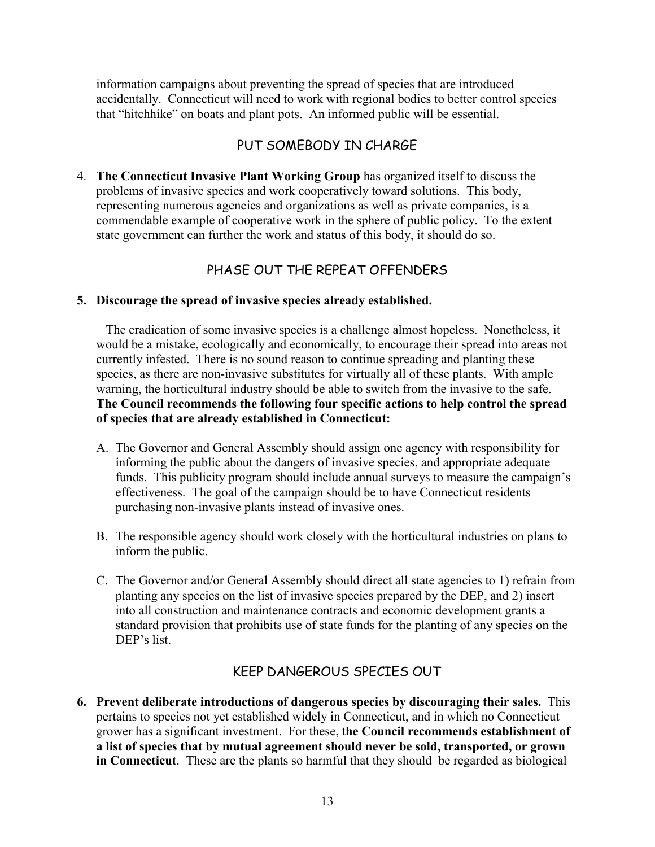information campaigns about preventing the spread of species that are introduced accidentally. Connecticut will need to work with regional bodies to better control species that "hitchhike" on boats and plant pots. An informed public will be essential.

# PUT SOMEBODY IN CHARGE

4. **The Connecticut Invasive Plant Working Group** has organized itself to discuss the problems of invasive species and work cooperatively toward solutions. This body, representing numerous agencies and organizations as well as private companies, is a commendable example of cooperative work in the sphere of public policy. To the extent state government can further the work and status of this body, it should do so.

# PHASE OUT THE REPEAT OFFENDERS

### **5. Discourage the spread of invasive species already established.**

The eradication of some invasive species is a challenge almost hopeless. Nonetheless, it would be a mistake, ecologically and economically, to encourage their spread into areas not currently infested. There is no sound reason to continue spreading and planting these species, as there are non-invasive substitutes for virtually all of these plants. With ample warning, the horticultural industry should be able to switch from the invasive to the safe. **The Council recommends the following four specific actions to help control the spread of species that are already established in Connecticut:** 

- A. The Governor and General Assembly should assign one agency with responsibility for informing the public about the dangers of invasive species, and appropriate adequate funds. This publicity program should include annual surveys to measure the campaign's effectiveness. The goal of the campaign should be to have Connecticut residents purchasing non-invasive plants instead of invasive ones.
- B. The responsible agency should work closely with the horticultural industries on plans to inform the public.
- C. The Governor and/or General Assembly should direct all state agencies to 1) refrain from planting any species on the list of invasive species prepared by the DEP, and 2) insert into all construction and maintenance contracts and economic development grants a standard provision that prohibits use of state funds for the planting of any species on the DEP's list.

# KEEP DANGEROUS SPECIES OUT

**6. Prevent deliberate introductions of dangerous species by discouraging their sales.** This pertains to species not yet established widely in Connecticut, and in which no Connecticut grower has a significant investment. For these, t**he Council recommends establishment of a list of species that by mutual agreement should never be sold, transported, or grown in Connecticut**. These are the plants so harmful that they should be regarded as biological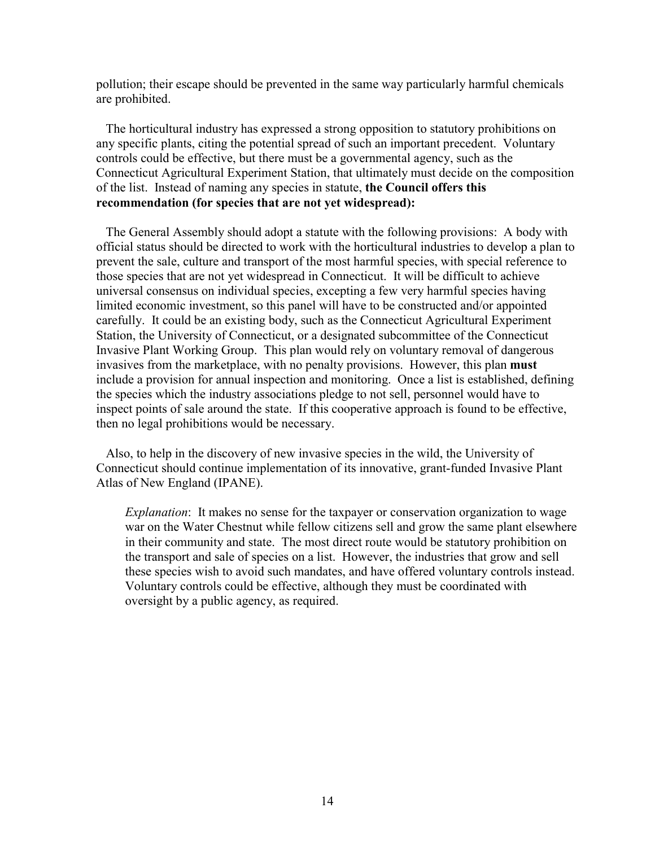pollution; their escape should be prevented in the same way particularly harmful chemicals are prohibited.

The horticultural industry has expressed a strong opposition to statutory prohibitions on any specific plants, citing the potential spread of such an important precedent. Voluntary controls could be effective, but there must be a governmental agency, such as the Connecticut Agricultural Experiment Station, that ultimately must decide on the composition of the list. Instead of naming any species in statute, **the Council offers this recommendation (for species that are not yet widespread):** 

The General Assembly should adopt a statute with the following provisions: A body with official status should be directed to work with the horticultural industries to develop a plan to prevent the sale, culture and transport of the most harmful species, with special reference to those species that are not yet widespread in Connecticut. It will be difficult to achieve universal consensus on individual species, excepting a few very harmful species having limited economic investment, so this panel will have to be constructed and/or appointed carefully. It could be an existing body, such as the Connecticut Agricultural Experiment Station, the University of Connecticut, or a designated subcommittee of the Connecticut Invasive Plant Working Group. This plan would rely on voluntary removal of dangerous invasives from the marketplace, with no penalty provisions. However, this plan **must**  include a provision for annual inspection and monitoring. Once a list is established, defining the species which the industry associations pledge to not sell, personnel would have to inspect points of sale around the state. If this cooperative approach is found to be effective, then no legal prohibitions would be necessary.

Also, to help in the discovery of new invasive species in the wild, the University of Connecticut should continue implementation of its innovative, grant-funded Invasive Plant Atlas of New England (IPANE).

*Explanation*: It makes no sense for the taxpayer or conservation organization to wage war on the Water Chestnut while fellow citizens sell and grow the same plant elsewhere in their community and state. The most direct route would be statutory prohibition on the transport and sale of species on a list. However, the industries that grow and sell these species wish to avoid such mandates, and have offered voluntary controls instead. Voluntary controls could be effective, although they must be coordinated with oversight by a public agency, as required.